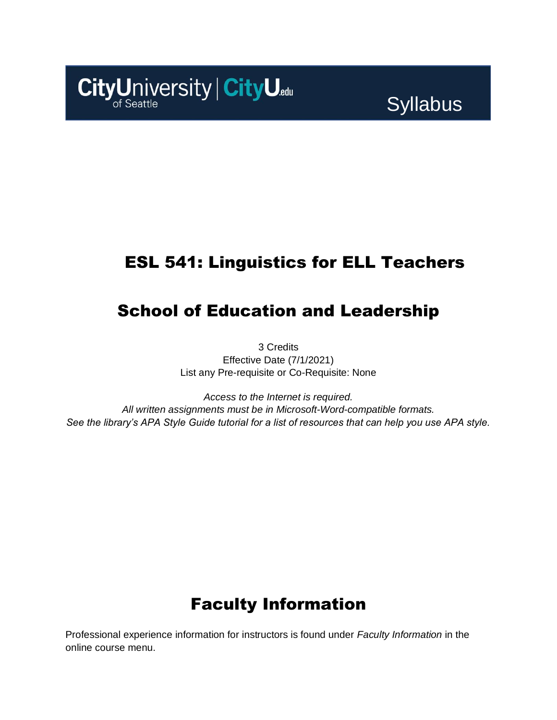

# **Syllabus**

# ESL 541: Linguistics for ELL Teachers

# School of Education and Leadership

3 Credits Effective Date (7/1/2021) List any Pre-requisite or Co-Requisite: None

*Access to the Internet is required. All written assignments must be in Microsoft-Word-compatible formats. See the library's APA Style Guide tutorial for a list of resources that can help you use APA style.*

# Faculty Information

Professional experience information for instructors is found under *Faculty Information* in the online course menu.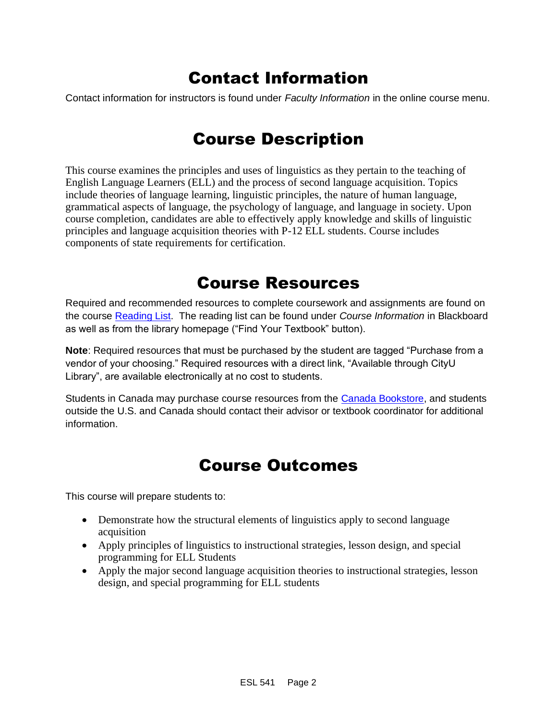# Contact Information

Contact information for instructors is found under *Faculty Information* in the online course menu.

## Course Description

This course examines the principles and uses of linguistics as they pertain to the teaching of English Language Learners (ELL) and the process of second language acquisition. Topics include theories of language learning, linguistic principles, the nature of human language, grammatical aspects of language, the psychology of language, and language in society. Upon course completion, candidates are able to effectively apply knowledge and skills of linguistic principles and language acquisition theories with P-12 ELL students. Course includes components of state requirements for certification.

### Course Resources

Required and recommended resources to complete coursework and assignments are found on the course [Reading List.](https://cityu.alma.exlibrisgroup.com/leganto/login?auth=SAML) The reading list can be found under *Course Information* in Blackboard as well as from the library homepage ("Find Your Textbook" button).

**Note**: Required resources that must be purchased by the student are tagged "Purchase from a vendor of your choosing." Required resources with a direct link, "Available through CityU Library", are available electronically at no cost to students.

Students in Canada may purchase course resources from the [Canada Bookstore,](https://www.cityubookstore.ca/index.asp) and students outside the U.S. and Canada should contact their advisor or textbook coordinator for additional information.

# Course Outcomes

This course will prepare students to:

- Demonstrate how the structural elements of linguistics apply to second language acquisition
- Apply principles of linguistics to instructional strategies, lesson design, and special programming for ELL Students
- Apply the major second language acquisition theories to instructional strategies, lesson design, and special programming for ELL students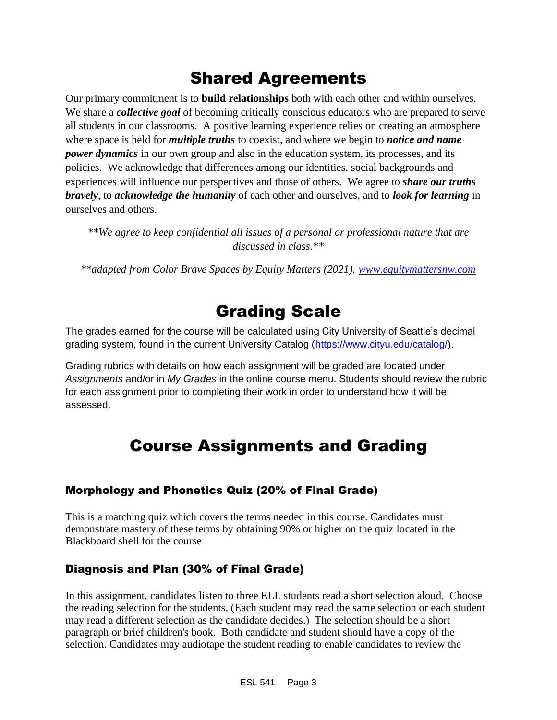# Shared Agreements

Our primary commitment is to **build relationships** both with each other and within ourselves. We share a *collective goal* of becoming critically conscious educators who are prepared to serve all students in our classrooms. A positive learning experience relies on creating an atmosphere where space is held for *multiple truths* to coexist, and where we begin to *notice and name power dynamics* in our own group and also in the education system, its processes, and its policies. We acknowledge that differences among our identities, social backgrounds and experiences will influence our perspectives and those of others*.* We agree to *share our truths bravely*, to *acknowledge the humanity* of each other and ourselves, and to *look for learning* in ourselves and others.

*\*\*We agree to keep confidential all issues of a personal or professional nature that are discussed in class.\*\**

*\*\*adapted from Color Brave Spaces by Equity Matters (2021). [www.equitymattersnw.com](http://www.equitymattersnw.com/)*

## Grading Scale

The grades earned for the course will be calculated using City University of Seattle's decimal grading system, found in the current University Catalog [\(https://www.cityu.edu/catalog/\)](https://www.cityu.edu/catalog/).

Grading rubrics with details on how each assignment will be graded are located under *Assignments* and/or in *My Grades* in the online course menu. Students should review the rubric for each assignment prior to completing their work in order to understand how it will be assessed.

# Course Assignments and Grading

#### Morphology and Phonetics Quiz (20% of Final Grade)

This is a matching quiz which covers the terms needed in this course. Candidates must demonstrate mastery of these terms by obtaining 90% or higher on the quiz located in the Blackboard shell for the course

#### Diagnosis and Plan (30% of Final Grade)

In this assignment, candidates listen to three ELL students read a short selection aloud. Choose the reading selection for the students. (Each student may read the same selection or each student may read a different selection as the candidate decides.) The selection should be a short paragraph or brief children's book. Both candidate and student should have a copy of the selection. Candidates may audiotape the student reading to enable candidates to review the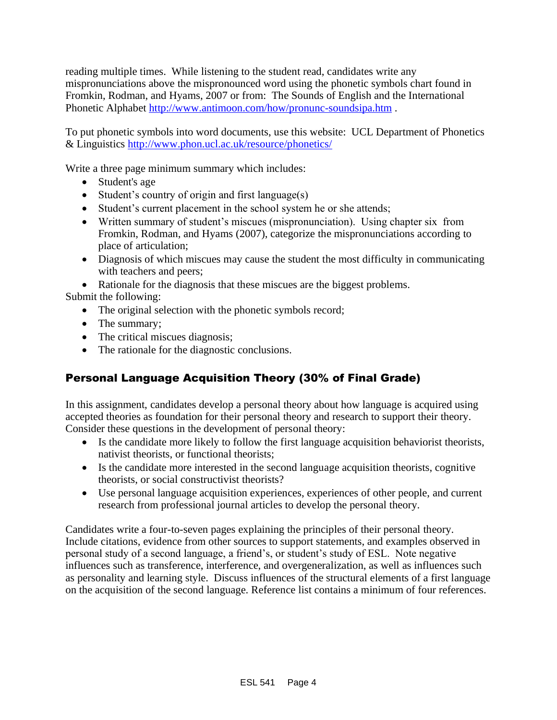reading multiple times. While listening to the student read, candidates write any mispronunciations above the mispronounced word using the phonetic symbols chart found in Fromkin, Rodman, and Hyams, 2007 or from: The Sounds of English and the International Phonetic Alphabet<http://www.antimoon.com/how/pronunc-soundsipa.htm> .

To put phonetic symbols into word documents, use this website: UCL Department of Phonetics & Linguistics<http://www.phon.ucl.ac.uk/resource/phonetics/>

Write a three page minimum summary which includes:

- Student's age
- Student's country of origin and first language(s)
- Student's current placement in the school system he or she attends;
- Written summary of student's miscues (mispronunciation). Using chapter six from Fromkin, Rodman, and Hyams (2007), categorize the mispronunciations according to place of articulation;
- Diagnosis of which miscues may cause the student the most difficulty in communicating with teachers and peers;

• Rationale for the diagnosis that these miscues are the biggest problems.

Submit the following:

- The original selection with the phonetic symbols record;
- The summary;
- The critical miscues diagnosis;
- The rationale for the diagnostic conclusions.

### Personal Language Acquisition Theory (30% of Final Grade)

In this assignment, candidates develop a personal theory about how language is acquired using accepted theories as foundation for their personal theory and research to support their theory. Consider these questions in the development of personal theory:

- Is the candidate more likely to follow the first language acquisition behaviorist theorists, nativist theorists, or functional theorists;
- Is the candidate more interested in the second language acquisition theorists, cognitive theorists, or social constructivist theorists?
- Use personal language acquisition experiences, experiences of other people, and current research from professional journal articles to develop the personal theory.

Candidates write a four-to-seven pages explaining the principles of their personal theory. Include citations, evidence from other sources to support statements, and examples observed in personal study of a second language, a friend's, or student's study of ESL. Note negative influences such as transference, interference, and overgeneralization, as well as influences such as personality and learning style. Discuss influences of the structural elements of a first language on the acquisition of the second language. Reference list contains a minimum of four references.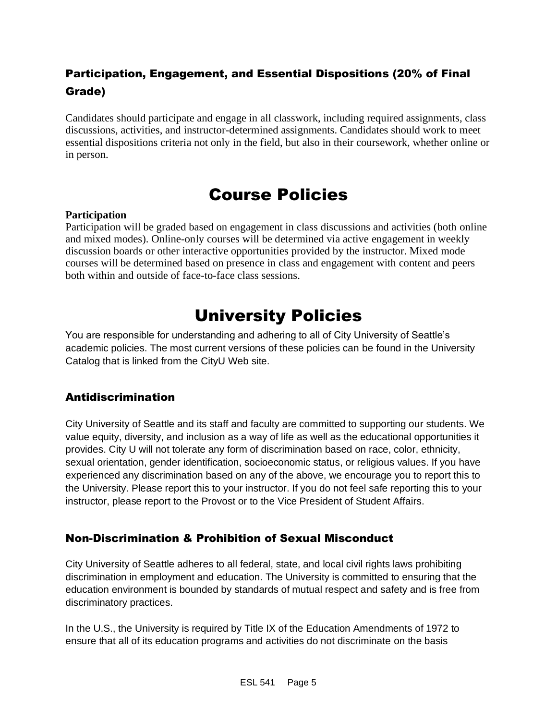### Participation, Engagement, and Essential Dispositions (20% of Final Grade)

Candidates should participate and engage in all classwork, including required assignments, class discussions, activities, and instructor-determined assignments. Candidates should work to meet essential dispositions criteria not only in the field, but also in their coursework, whether online or in person.

## Course Policies

#### **Participation**

Participation will be graded based on engagement in class discussions and activities (both online and mixed modes). Online-only courses will be determined via active engagement in weekly discussion boards or other interactive opportunities provided by the instructor. Mixed mode courses will be determined based on presence in class and engagement with content and peers both within and outside of face-to-face class sessions.

# University Policies

You are responsible for understanding and adhering to all of City University of Seattle's academic policies. The most current versions of these policies can be found in the University Catalog that is linked from the CityU Web site.

### Antidiscrimination

City University of Seattle and its staff and faculty are committed to supporting our students. We value equity, diversity, and inclusion as a way of life as well as the educational opportunities it provides. City U will not tolerate any form of discrimination based on race, color, ethnicity, sexual orientation, gender identification, socioeconomic status, or religious values. If you have experienced any discrimination based on any of the above, we encourage you to report this to the University. Please report this to your instructor. If you do not feel safe reporting this to your instructor, please report to the Provost or to the Vice President of Student Affairs.

### Non-Discrimination & Prohibition of Sexual Misconduct

City University of Seattle adheres to all federal, state, and local civil rights laws prohibiting discrimination in employment and education. The University is committed to ensuring that the education environment is bounded by standards of mutual respect and safety and is free from discriminatory practices.

In the U.S., the University is required by Title IX of the Education Amendments of 1972 to ensure that all of its education programs and activities do not discriminate on the basis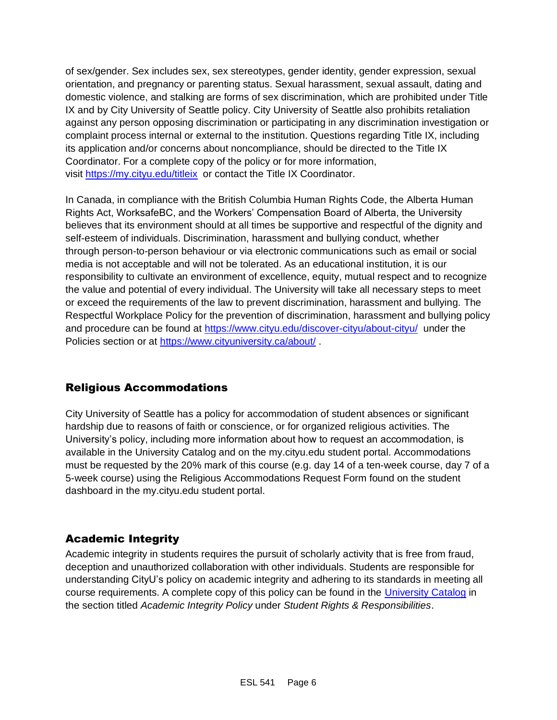of sex/gender. Sex includes sex, sex stereotypes, gender identity, gender expression, sexual orientation, and pregnancy or parenting status. Sexual harassment, sexual assault, dating and domestic violence, and stalking are forms of sex discrimination, which are prohibited under Title IX and by City University of Seattle policy. City University of Seattle also prohibits retaliation against any person opposing discrimination or participating in any discrimination investigation or complaint process internal or external to the institution. Questions regarding Title IX, including its application and/or concerns about noncompliance, should be directed to the Title IX Coordinator. For a complete copy of the policy or for more information, visit [https://my.cityu.edu/titleix](https://nam11.safelinks.protection.outlook.com/?url=https%3A%2F%2Fmy.cityu.edu%2Ftitleix&data=04%7C01%7Claker%40cityu.edu%7Cbc558c70c10340dbaa2408d9172365a0%7Cb3fa96d9f5154662add763d854e39e63%7C1%7C0%7C637566263054321964%7CUnknown%7CTWFpbGZsb3d8eyJWIjoiMC4wLjAwMDAiLCJQIjoiV2luMzIiLCJBTiI6Ik1haWwiLCJXVCI6Mn0%3D%7C1000&sdata=GX0hgfxN2OMKFTKjD04gqvwwyU44mfnCmEdCtsEzab0%3D&reserved=0) or contact the Title IX Coordinator.

In Canada, in compliance with the British Columbia Human Rights Code, the Alberta Human Rights Act, WorksafeBC, and the Workers' Compensation Board of Alberta, the University believes that its environment should at all times be supportive and respectful of the dignity and self-esteem of individuals. Discrimination, harassment and bullying conduct, whether through person-to-person behaviour or via electronic communications such as email or social media is not acceptable and will not be tolerated. As an educational institution, it is our responsibility to cultivate an environment of excellence, equity, mutual respect and to recognize the value and potential of every individual. The University will take all necessary steps to meet or exceed the requirements of the law to prevent discrimination, harassment and bullying. The Respectful Workplace Policy for the prevention of discrimination, harassment and bullying policy and procedure can be found at [https://www.cityu.edu/discover-cityu/about-cityu/](https://nam11.safelinks.protection.outlook.com/?url=https%3A%2F%2Fwww.cityu.edu%2Fdiscover-cityu%2Fabout-cityu%2F&data=04%7C01%7Claker%40cityu.edu%7Cbc558c70c10340dbaa2408d9172365a0%7Cb3fa96d9f5154662add763d854e39e63%7C1%7C0%7C637566263054331957%7CUnknown%7CTWFpbGZsb3d8eyJWIjoiMC4wLjAwMDAiLCJQIjoiV2luMzIiLCJBTiI6Ik1haWwiLCJXVCI6Mn0%3D%7C1000&sdata=7Q6QoqwuNLfeOJPewViWSeIwRIBy%2BoqDOiP8xSHYm78%3D&reserved=0) under the Policies section or at [https://www.cityuniversity.ca/about/](https://nam11.safelinks.protection.outlook.com/?url=https%3A%2F%2Fwww.cityuniversity.ca%2Fabout%2F&data=04%7C01%7Claker%40cityu.edu%7Cbc558c70c10340dbaa2408d9172365a0%7Cb3fa96d9f5154662add763d854e39e63%7C1%7C0%7C637566263054331957%7CUnknown%7CTWFpbGZsb3d8eyJWIjoiMC4wLjAwMDAiLCJQIjoiV2luMzIiLCJBTiI6Ik1haWwiLCJXVCI6Mn0%3D%7C1000&sdata=TX6bXEiU0CC6hC1mrTnKpuJywbR06qAj7RMu8QC4RUA%3D&reserved=0) .

### Religious Accommodations

City University of Seattle has a policy for accommodation of student absences or significant hardship due to reasons of faith or conscience, or for organized religious activities. The University's policy, including more information about how to request an accommodation, is available in the University Catalog and on the my.cityu.edu student portal. Accommodations must be requested by the 20% mark of this course (e.g. day 14 of a ten-week course, day 7 of a 5-week course) using the Religious Accommodations Request Form found on the student dashboard in the my.cityu.edu student portal.

### Academic Integrity

Academic integrity in students requires the pursuit of scholarly activity that is free from fraud, deception and unauthorized collaboration with other individuals. Students are responsible for understanding CityU's policy on academic integrity and adhering to its standards in meeting all course requirements. A complete copy of this policy can be found in the [University Catalog](https://nam11.safelinks.protection.outlook.com/?url=http%3A%2F%2Fwww.cityu.edu%2Fcatalog%2F&data=04%7C01%7Claker%40cityu.edu%7Cbc558c70c10340dbaa2408d9172365a0%7Cb3fa96d9f5154662add763d854e39e63%7C1%7C0%7C637566263054341952%7CUnknown%7CTWFpbGZsb3d8eyJWIjoiMC4wLjAwMDAiLCJQIjoiV2luMzIiLCJBTiI6Ik1haWwiLCJXVCI6Mn0%3D%7C1000&sdata=aL6fsSyLtVzJgdrlE9PtZXb%2F3H6wCdrvPcw4zOoEYTI%3D&reserved=0) in the section titled *Academic Integrity Policy* under *Student Rights & Responsibilities*.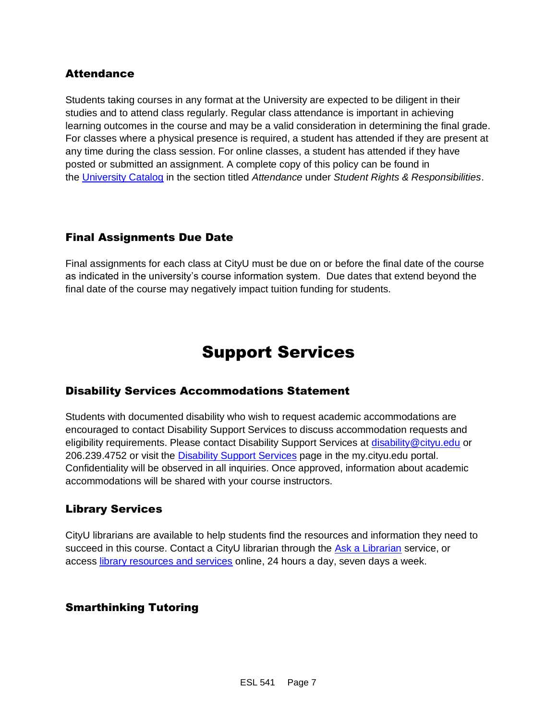#### Attendance

Students taking courses in any format at the University are expected to be diligent in their studies and to attend class regularly. Regular class attendance is important in achieving learning outcomes in the course and may be a valid consideration in determining the final grade. For classes where a physical presence is required, a student has attended if they are present at any time during the class session. For online classes, a student has attended if they have posted or submitted an assignment. A complete copy of this policy can be found in the [University Catalog](https://nam11.safelinks.protection.outlook.com/?url=http%3A%2F%2Fwww.cityu.edu%2Fcatalog%2F&data=04%7C01%7Claker%40cityu.edu%7Cbc558c70c10340dbaa2408d9172365a0%7Cb3fa96d9f5154662add763d854e39e63%7C1%7C0%7C637566263054341952%7CUnknown%7CTWFpbGZsb3d8eyJWIjoiMC4wLjAwMDAiLCJQIjoiV2luMzIiLCJBTiI6Ik1haWwiLCJXVCI6Mn0%3D%7C1000&sdata=aL6fsSyLtVzJgdrlE9PtZXb%2F3H6wCdrvPcw4zOoEYTI%3D&reserved=0) in the section titled *Attendance* under *Student Rights & Responsibilities*.

#### Final Assignments Due Date

Final assignments for each class at CityU must be due on or before the final date of the course as indicated in the university's course information system. Due dates that extend beyond the final date of the course may negatively impact tuition funding for students.

# Support Services

#### Disability Services Accommodations Statement

Students with documented disability who wish to request academic accommodations are encouraged to contact Disability Support Services to discuss accommodation requests and eligibility requirements. Please contact Disability Support Services at [disability@cityu.edu](mailto:disability@cityu.edu) or 206.239.4752 or visit the [Disability Support Services](https://nam11.safelinks.protection.outlook.com/?url=https%3A%2F%2Fmy.cityu.edu%2Fdepartment%2Fdisability-support-services%2F&data=04%7C01%7Claker%40cityu.edu%7Cbc558c70c10340dbaa2408d9172365a0%7Cb3fa96d9f5154662add763d854e39e63%7C1%7C0%7C637566263054351946%7CUnknown%7CTWFpbGZsb3d8eyJWIjoiMC4wLjAwMDAiLCJQIjoiV2luMzIiLCJBTiI6Ik1haWwiLCJXVCI6Mn0%3D%7C1000&sdata=e%2FOzbhqrB5SP38rzkwNSwviN3V%2Fv%2BsJNtdettuKSolw%3D&reserved=0) page in the my.cityu.edu portal. Confidentiality will be observed in all inquiries. Once approved, information about academic accommodations will be shared with your course instructors.

### Library Services

CityU librarians are available to help students find the resources and information they need to succeed in this course. Contact a CityU librarian through the [Ask a Librarian](https://nam11.safelinks.protection.outlook.com/?url=http%3A%2F%2Flibrary.cityu.edu%2Fask-a-librarian%2F&data=04%7C01%7Claker%40cityu.edu%7Cbc558c70c10340dbaa2408d9172365a0%7Cb3fa96d9f5154662add763d854e39e63%7C1%7C0%7C637566263054351946%7CUnknown%7CTWFpbGZsb3d8eyJWIjoiMC4wLjAwMDAiLCJQIjoiV2luMzIiLCJBTiI6Ik1haWwiLCJXVCI6Mn0%3D%7C1000&sdata=N%2Fk3bR2W%2BVUXK4b%2BZd83weGqJbtI4y9O3CdOuOW7%2BiA%3D&reserved=0) service, or access [library resources and services](https://nam11.safelinks.protection.outlook.com/?url=http%3A%2F%2Flibrary.cityu.edu%2F&data=04%7C01%7Claker%40cityu.edu%7Cbc558c70c10340dbaa2408d9172365a0%7Cb3fa96d9f5154662add763d854e39e63%7C1%7C0%7C637566263054361941%7CUnknown%7CTWFpbGZsb3d8eyJWIjoiMC4wLjAwMDAiLCJQIjoiV2luMzIiLCJBTiI6Ik1haWwiLCJXVCI6Mn0%3D%7C1000&sdata=4K7GoPDJosgIt0XDdVisT%2BGn6DZa5bSz0lhZSyjH7kU%3D&reserved=0) online, 24 hours a day, seven days a week.

#### Smarthinking Tutoring